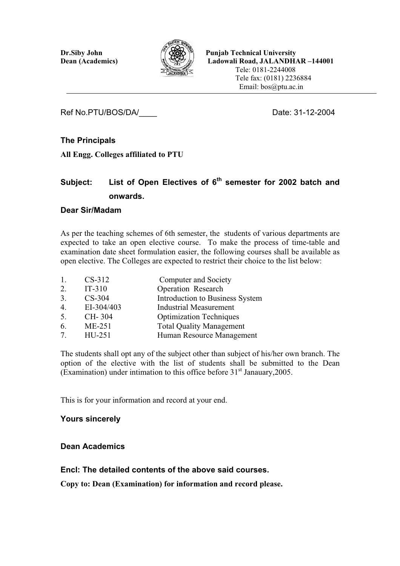

**Dr.Siby John Punjab Technical University Dean (Academics) Ladowali Road, JALANDHAR –144001**  Tele: 0181-2244008 Tele fax: (0181) 2236884 Email: bos@ptu.ac.in

Ref No.PTU/BOS/DA/ Date: 31-12-2004

# **The Principals**

**All Engg. Colleges affiliated to PTU** 

# Subject: List of Open Electives of 6<sup>th</sup> semester for 2002 batch and **onwards.**

# **Dear Sir/Madam**

As per the teaching schemes of 6th semester, the students of various departments are expected to take an open elective course. To make the process of time-table and examination date sheet formulation easier, the following courses shall be available as open elective. The Colleges are expected to restrict their choice to the list below:

| 1. | $CS-312$   | Computer and Society            |
|----|------------|---------------------------------|
| 2. | $IT-310$   | <b>Operation Research</b>       |
| 3. | $CS-304$   | Introduction to Business System |
| 4. | EI-304/403 | <b>Industrial Measurement</b>   |
| 5. | CH-304     | <b>Optimization Techniques</b>  |
| 6. | $ME-251$   | <b>Total Quality Management</b> |
| 7. | HU-251     | Human Resource Management       |
|    |            |                                 |

The students shall opt any of the subject other than subject of his/her own branch. The option of the elective with the list of students shall be submitted to the Dean (Examination) under intimation to this office before  $31<sup>st</sup>$  Janauary, 2005.

This is for your information and record at your end.

# **Yours sincerely**

# **Dean Academics**

# **Encl: The detailed contents of the above said courses.**

**Copy to: Dean (Examination) for information and record please.**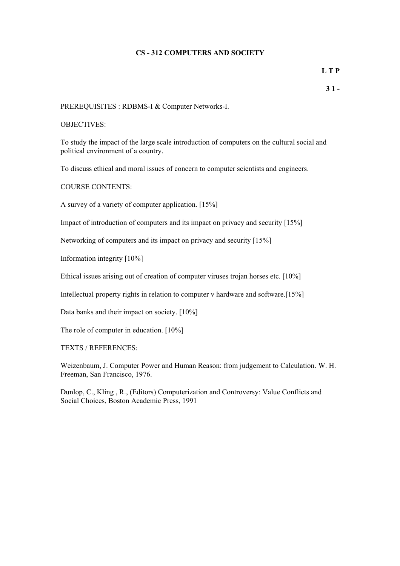### **CS - 312 COMPUTERS AND SOCIETY**

**L T P** 

PREREQUISITES : RDBMS-I & Computer Networks-I.

#### OBJECTIVES:

To study the impact of the large scale introduction of computers on the cultural social and political environment of a country.

To discuss ethical and moral issues of concern to computer scientists and engineers.

COURSE CONTENTS:

A survey of a variety of computer application. [15%]

Impact of introduction of computers and its impact on privacy and security [15%]

Networking of computers and its impact on privacy and security [15%]

Information integrity [10%]

Ethical issues arising out of creation of computer viruses trojan horses etc. [10%]

Intellectual property rights in relation to computer v hardware and software.[15%]

Data banks and their impact on society. [10%]

The role of computer in education. [10%]

TEXTS / REFERENCES:

Weizenbaum, J. Computer Power and Human Reason: from judgement to Calculation. W. H. Freeman, San Francisco, 1976.

Dunlop, C., Kling , R., (Editors) Computerization and Controversy: Value Conflicts and Social Choices, Boston Academic Press, 1991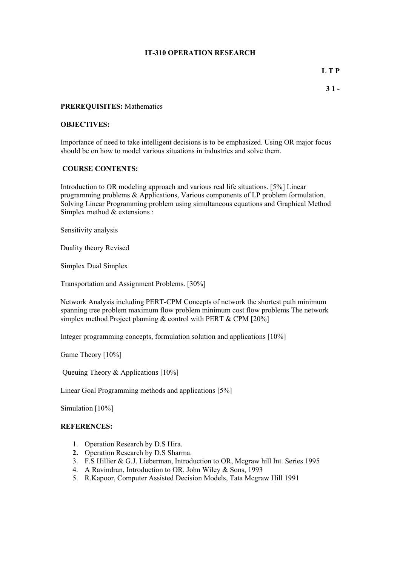#### **IT-310 OPERATION RESEARCH**

**L T P** 

#### **PREREQUISITES:** Mathematics

#### **OBJECTIVES:**

Importance of need to take intelligent decisions is to be emphasized. Using OR major focus should be on how to model various situations in industries and solve them.

#### **COURSE CONTENTS:**

Introduction to OR modeling approach and various real life situations. [5%] Linear programming problems & Applications, Various components of LP problem formulation. Solving Linear Programming problem using simultaneous equations and Graphical Method Simplex method & extensions :

Sensitivity analysis

Duality theory Revised

Simplex Dual Simplex

Transportation and Assignment Problems. [30%]

Network Analysis including PERT-CPM Concepts of network the shortest path minimum spanning tree problem maximum flow problem minimum cost flow problems The network simplex method Project planning  $&$  control with PERT  $&$  CPM [20%]

Integer programming concepts, formulation solution and applications [10%]

Game Theory [10%]

Queuing Theory & Applications [10%]

Linear Goal Programming methods and applications [5%]

Simulation [10%]

#### **REFERENCES:**

- 1. Operation Research by D.S Hira.
- **2.** Operation Research by D.S Sharma.
- 3. F.S Hillier & G.J. Lieberman, Introduction to OR, Mcgraw hill Int. Series 1995
- 4. A Ravindran, Introduction to OR. John Wiley & Sons, 1993
- 5. R.Kapoor, Computer Assisted Decision Models, Tata Mcgraw Hill 1991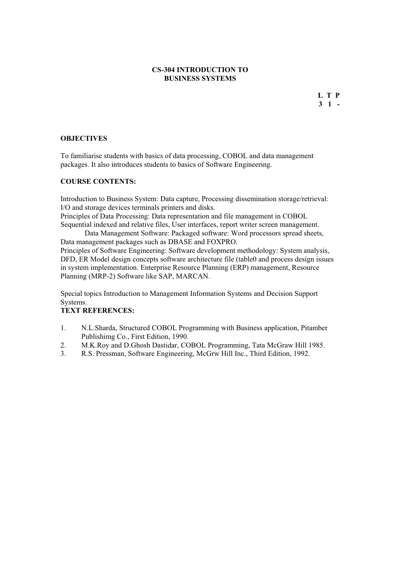#### **CS-304 INTRODUCTION TO BUSINESS SYSTEMS**

#### **OBJECTIVES**

To familiarise students with basics of data processing, COBOL and data management packages. It also introduces students to basics of Software Engineering.

#### **COURSE CONTENTS:**

Introduction to Business System: Data capture, Processing dissemination storage/retrieval: I/O and storage devices terminals printers and disks.

Principles of Data Processing: Data representation and file management in COBOL Sequential indexed and relative files, User interfaces, report writer screen management.

 Data Management Software: Packaged software: Word processors spread sheets, Data management packages such as DBASE and FOXPRO.

Principles of Software Engineering: Software development methodology: System analysis, DFD, ER Model design concepts software architecture file (table0 and process design issues in system implementation. Enterprise Resource Planning (ERP) management, Resource Planning (MRP-2) Software like SAP, MARCAN.

Special topics Introduction to Management Information Systems and Decision Support Systems.

# **TEXT REFERENCES:**

- 1. N.L.Sharda, Structured COBOL Programming with Business application, Pitamber Publishimg Co., First Edition, 1990.
- 2. M.K.Roy and D.Ghosh Dastidar, COBOL Programming, Tata McGraw Hill 1985.
- 3. R.S. Pressman, Software Engineering, McGrw Hill Inc., Third Edition, 1992.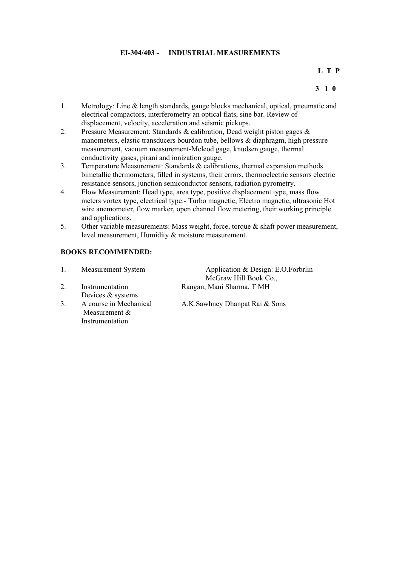## **EI-304/403 - INDUSTRIAL MEASUREMENTS**

#### **L T P**

#### **3 1 0**

- 1. Metrology: Line & length standards, gauge blocks mechanical, optical, pneumatic and electrical compactors, interferometry an optical flats, sine bar. Review of displacement, velocity, acceleration and seismic pickups.
- 2. Pressure Measurement: Standards & calibration, Dead weight piston gages & manometers, elastic transducers bourdon tube, bellows & diaphragm, high pressure measurement, vacuum measurement-Mcleod gage, knudsen gauge, thermal conductivity gases, pirani and ionization gauge.
- 3. Temperature Measurement: Standards & calibrations, thermal expansion methods bimetallic thermometers, filled in systems, their errors, thermoelectric sensors electric resistance sensors, junction semiconductor sensors, radiation pyrometry.
- 4. Flow Measurement: Head type, area type, positive displacement type, mass flow meters vortex type, electrical type:- Turbo magnetic, Electro magnetic, ultrasonic Hot wire anemometer, flow marker, open channel flow metering, their working principle and applications.
- 5. Other variable measurements: Mass weight, force, torque & shaft power measurement, level measurement, Humidity & moisture measurement.

#### **BOOKS RECOMMENDED:**

|    | <b>Measurement System</b> | Application & Design: E.O.Forbrlin |
|----|---------------------------|------------------------------------|
|    |                           | McGraw Hill Book Co.,              |
|    | Instrumentation           | Rangan, Mani Sharma, T MH          |
|    | Devices & systems         |                                    |
| 3. | A course in Mechanical    | A.K.Sawhney Dhanpat Rai & Sons     |
|    | Measurement $&$           |                                    |
|    | Instrumentation           |                                    |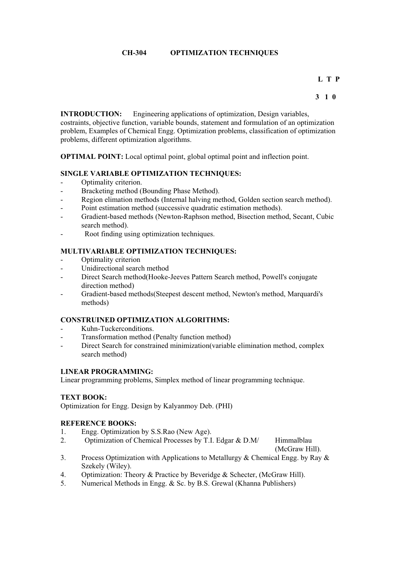# **CH-304 OPTIMIZATION TECHNIQUES**

# **L T P**

#### **3 1 0**

**INTRODUCTION:** Engineering applications of optimization, Design variables,

costraints, objective function, variable bounds, statement and formulation of an optimization problem, Examples of Chemical Engg. Optimization problems, classification of optimization problems, different optimization algorithms.

**OPTIMAL POINT:** Local optimal point, global optimal point and inflection point.

## **SINGLE VARIABLE OPTIMIZATION TECHNIQUES:**

- Optimality criterion.
- Bracketing method (Bounding Phase Method).
- Region elimation methods (Internal halving method, Golden section search method).
- Point estimation method (successive quadratic estimation methods).
- Gradient-based methods (Newton-Raphson method, Bisection method, Secant, Cubic search method).
- Root finding using optimization techniques.

## **MULTIVARIABLE OPTIMIZATION TECHNIQUES:**

- Optimality criterion
- Unidirectional search method
- Direct Search method(Hooke-Jeeves Pattern Search method, Powell's conjugate direction method)
- Gradient-based methods(Steepest descent method, Newton's method, Marquardi's methods)

# **CONSTRUINED OPTIMIZATION ALGORITHMS:**

- Kuhn-Tuckerconditions.
- Transformation method (Penalty function method)
- Direct Search for constrained minimization(variable elimination method, complex search method)

### **LINEAR PROGRAMMING:**

Linear programming problems, Simplex method of linear programming technique.

#### **TEXT BOOK:**

Optimization for Engg. Design by Kalyanmoy Deb. (PHI)

#### **REFERENCE BOOKS:**

- 1. Engg. Optimization by S.S.Rao (New Age).
- 2. Optimization of Chemical Processes by T.I. Edgar & D.M/ Himmalblau

(McGraw Hill).

- 3. Process Optimization with Applications to Metallurgy & Chemical Engg. by Ray & Szekely (Wiley).
- 4. Optimization: Theory & Practice by Beveridge & Schecter, (McGraw Hill).
- 5. Numerical Methods in Engg. & Sc. by B.S. Grewal (Khanna Publishers)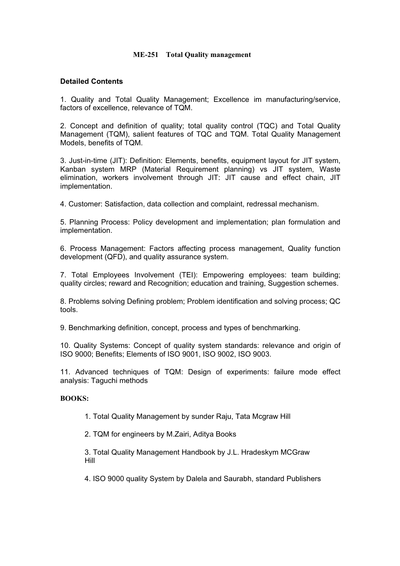### **ME-251 Total Quality management**

# **Detailed Contents**

1. Quality and Total Quality Management; Excellence im manufacturing/service, factors of excellence, relevance of TQM.

2. Concept and definition of quality; total quality control (TQC) and Total Quality Management (TQM), salient features of TQC and TQM. Total Quality Management Models, benefits of TQM.

3. Just-in-time (JIT): Definition: Elements, benefits, equipment layout for JIT system, Kanban system MRP (Material Requirement planning) vs JIT system, Waste elimination, workers involvement through JIT: JIT cause and effect chain, JIT implementation.

4. Customer: Satisfaction, data collection and complaint, redressal mechanism.

5. Planning Process: Policy development and implementation; plan formulation and implementation.

6. Process Management: Factors affecting process management, Quality function development (QFD), and quality assurance system.

7. Total Employees Involvement (TEI): Empowering employees: team building; quality circles; reward and Recognition; education and training, Suggestion schemes.

8. Problems solving Defining problem; Problem identification and solving process; QC tools.

9. Benchmarking definition, concept, process and types of benchmarking.

10. Quality Systems: Concept of quality system standards: relevance and origin of ISO 9000; Benefits; Elements of ISO 9001, ISO 9002, ISO 9003.

11. Advanced techniques of TQM: Design of experiments: failure mode effect analysis: Taguchi methods

#### **BOOKS:**

1. Total Quality Management by sunder Raju, Tata Mcgraw Hill

2. TQM for engineers by M.Zairi, Aditya Books

3. Total Quality Management Handbook by J.L. Hradeskym MCGraw Hill

4. ISO 9000 quality System by Dalela and Saurabh, standard Publishers